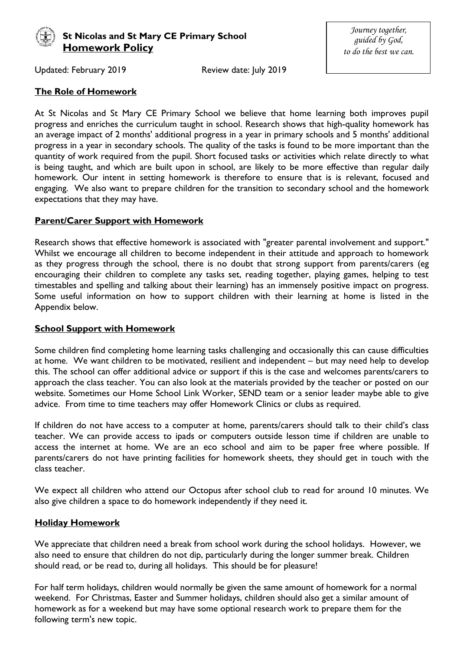

# **St Nicolas and St Mary CE Primary School Homework Policy**

*Journey together, guided by God, to do the best we can.*

Updated: February 2019 Review date: July 2019

# **The Role of Homework**

At St Nicolas and St Mary CE Primary School we believe that home learning both improves pupil progress and enriches the curriculum taught in school. Research shows that high-quality homework has an average impact of 2 months' additional progress in a year in primary schools and 5 months' additional progress in a year in secondary schools. The quality of the tasks is found to be more important than the quantity of work required from the pupil. Short focused tasks or activities which relate directly to what is being taught, and which are built upon in school, are likely to be more effective than regular daily homework. Our intent in setting homework is therefore to ensure that is is relevant, focused and engaging. We also want to prepare children for the transition to secondary school and the homework expectations that they may have.

## **Parent/Carer Support with Homework**

Research shows that effective homework is associated with "greater parental involvement and support." Whilst we encourage all children to become independent in their attitude and approach to homework as they progress through the school, there is no doubt that strong support from parents/carers (eg encouraging their children to complete any tasks set, reading together, playing games, helping to test timestables and spelling and talking about their learning) has an immensely positive impact on progress. Some useful information on how to support children with their learning at home is listed in the Appendix below.

# **School Support with Homework**

Some children find completing home learning tasks challenging and occasionally this can cause difficulties at home. We want children to be motivated, resilient and independent – but may need help to develop this. The school can offer additional advice or support if this is the case and welcomes parents/carers to approach the class teacher. You can also look at the materials provided by the teacher or posted on our website. Sometimes our Home School Link Worker, SEND team or a senior leader maybe able to give advice. From time to time teachers may offer Homework Clinics or clubs as required.

If children do not have access to a computer at home, parents/carers should talk to their child's class teacher. We can provide access to ipads or computers outside lesson time if children are unable to access the internet at home. We are an eco school and aim to be paper free where possible. If parents/carers do not have printing facilities for homework sheets, they should get in touch with the class teacher.

We expect all children who attend our Octopus after school club to read for around 10 minutes. We also give children a space to do homework independently if they need it.

# **Holiday Homework**

We appreciate that children need a break from school work during the school holidays. However, we also need to ensure that children do not dip, particularly during the longer summer break. Children should read, or be read to, during all holidays. This should be for pleasure!

For half term holidays, children would normally be given the same amount of homework for a normal weekend. For Christmas, Easter and Summer holidays, children should also get a similar amount of homework as for a weekend but may have some optional research work to prepare them for the following term's new topic.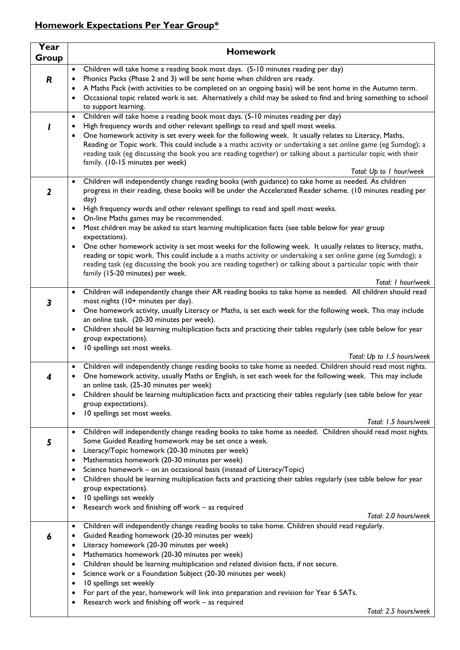# **Homework Expectations Per Year Group\***

| Year  | <b>Homework</b>                                                                                                                                                                                             |
|-------|-------------------------------------------------------------------------------------------------------------------------------------------------------------------------------------------------------------|
| Group |                                                                                                                                                                                                             |
|       | Children will take home a reading book most days. (5-10 minutes reading per day)<br>$\bullet$                                                                                                               |
| R     | Phonics Packs (Phase 2 and 3) will be sent home when children are ready.<br>٠                                                                                                                               |
|       | A Maths Pack (with activities to be completed on an ongoing basis) will be sent home in the Autumn term.<br>٠                                                                                               |
|       | Occasional topic related work is set. Alternatively a child may be asked to find and bring something to school                                                                                              |
|       | to support learning.                                                                                                                                                                                        |
|       | Children will take home a reading book most days. (5-10 minutes reading per day)<br>$\bullet$                                                                                                               |
|       | High frequency words and other relevant spellings to read and spell most weeks.<br>٠<br>One homework activity is set every week for the following week. It usually relates to Literacy, Maths,<br>$\bullet$ |
|       | Reading or Topic work. This could include a a maths activity or undertaking a set online game (eg Sumdog); a                                                                                                |
|       | reading task (eg discussing the book you are reading together) or talking about a particular topic with their                                                                                               |
|       | family. (10-15 minutes per week)                                                                                                                                                                            |
|       | Total: Up to I hour/week                                                                                                                                                                                    |
|       | • Children will independently change reading books (with guidance) to take home as needed. As children                                                                                                      |
| 2     | progress in their reading, these books will be under the Accelerated Reader scheme. (10 minutes reading per                                                                                                 |
|       | day)<br>High frequency words and other relevant spellings to read and spell most weeks.                                                                                                                     |
|       | On-line Maths games may be recommended.                                                                                                                                                                     |
|       | Most children may be asked to start learning multiplication facts (see table below for year group<br>٠                                                                                                      |
|       | expectations).                                                                                                                                                                                              |
|       | One other homework activity is set most weeks for the following week. It usually relates to literacy, maths,<br>$\bullet$                                                                                   |
|       | reading or topic work. This could include a a maths activity or undertaking a set online game (eg Sumdog); a                                                                                                |
|       | reading task (eg discussing the book you are reading together) or talking about a particular topic with their                                                                                               |
|       | family (15-20 minutes) per week.<br>Total: I hour/week                                                                                                                                                      |
|       | • Children will independently change their AR reading books to take home as needed. All children should read                                                                                                |
| 3     | most nights (10+ minutes per day).                                                                                                                                                                          |
|       | One homework activity, usually Literacy or Maths, is set each week for the following week. This may include                                                                                                 |
|       | an online task. (20-30 minutes per week).                                                                                                                                                                   |
|       | Children should be learning multiplication facts and practicing their tables regularly (see table below for year                                                                                            |
|       | group expectations).                                                                                                                                                                                        |
|       | 10 spellings set most weeks.<br>Total: Up to 1.5 hours/week                                                                                                                                                 |
|       | Children will independently change reading books to take home as needed. Children should read most nights.<br>٠                                                                                             |
| 4     | One homework activity, usually Maths or English, is set each week for the following week. This may include<br>٠                                                                                             |
|       | an online task. (25-30 minutes per week)                                                                                                                                                                    |
|       | Children should be learning multiplication facts and practicing their tables regularly (see table below for year<br>٠                                                                                       |
|       | group expectations).                                                                                                                                                                                        |
|       | 10 spellings set most weeks.<br>$\bullet$                                                                                                                                                                   |
|       | Total: 1.5 hours/week                                                                                                                                                                                       |
| 5     | Children will independently change reading books to take home as needed. Children should read most nights.<br>$\bullet$<br>Some Guided Reading homework may be set once a week.                             |
|       | Literacy/Topic homework (20-30 minutes per week)<br>٠                                                                                                                                                       |
|       | Mathematics homework (20-30 minutes per week)<br>٠                                                                                                                                                          |
|       | Science homework - on an occasional basis (instead of Literacy/Topic)<br>٠                                                                                                                                  |
|       | Children should be learning multiplication facts and practicing their tables regularly (see table below for year<br>٠                                                                                       |
|       | group expectations).                                                                                                                                                                                        |
|       | 10 spellings set weekly<br>٠                                                                                                                                                                                |
|       | Research work and finishing off work - as required<br>Total: 2.0 hours/week                                                                                                                                 |
|       | Children will independently change reading books to take home. Children should read regularly.<br>$\bullet$                                                                                                 |
| 6     | Guided Reading homework (20-30 minutes per week)<br>٠                                                                                                                                                       |
|       | Literacy homework (20-30 minutes per week)<br>٠                                                                                                                                                             |
|       | Mathematics homework (20-30 minutes per week)<br>$\bullet$                                                                                                                                                  |
|       | Children should be learning multiplication and related division facts, if not secure.<br>٠                                                                                                                  |
|       | Science work or a Foundation Subject (20-30 minutes per week)<br>٠                                                                                                                                          |
|       | 10 spellings set weekly<br>٠                                                                                                                                                                                |
|       | For part of the year, homework will link into preparation and revision for Year 6 SATs.<br>٠                                                                                                                |
|       | Research work and finishing off work - as required<br>Total: 2.5 hours/week                                                                                                                                 |
|       |                                                                                                                                                                                                             |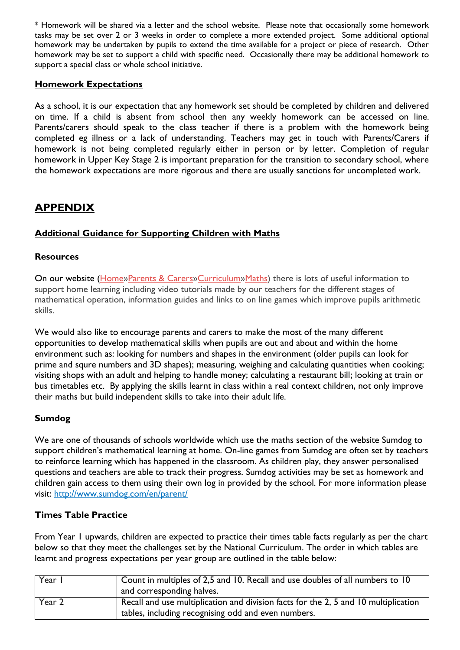\* Homework will be shared via a letter and the school website. Please note that occasionally some homework tasks may be set over 2 or 3 weeks in order to complete a more extended project. Some additional optional homework may be undertaken by pupils to extend the time available for a project or piece of research. Other homework may be set to support a child with specific need. Occasionally there may be additional homework to support a special class or whole school initiative.

# **Homework Expectations**

As a school, it is our expectation that any homework set should be completed by children and delivered on time. If a child is absent from school then any weekly homework can be accessed on line. Parents/carers should speak to the class teacher if there is a problem with the homework being completed eg illness or a lack of understanding. Teachers may get in touch with Parents/Carers if homework is not being completed regularly either in person or by letter. Completion of regular homework in Upper Key Stage 2 is important preparation for the transition to secondary school, where the homework expectations are more rigorous and there are usually sanctions for uncompleted work.

# **APPENDIX**

# **Additional Guidance for Supporting Children with Maths**

# **Resources**

On our website [\(Home»](http://www.stnicolasmary.w-sussex.sch.uk/)[Parents & Carers](http://www.stnicolasmary.w-sussex.sch.uk/page/?title=Parents+%26amp%3B+Carers&pid=8)[»Curriculum»](http://www.stnicolasmary.w-sussex.sch.uk/page/?title=Curriculum&pid=35)[Maths\)](http://www.stnicolasmary.w-sussex.sch.uk/page/?title=Maths&pid=43) there is lots of useful information to support home learning including video tutorials made by our teachers for the different stages of mathematical operation, information guides and links to on line games which improve pupils arithmetic skills.

We would also like to encourage parents and carers to make the most of the many different opportunities to develop mathematical skills when pupils are out and about and within the home environment such as: looking for numbers and shapes in the environment (older pupils can look for prime and squre numbers and 3D shapes); measuring, weighing and calculating quantities when cooking; visiting shops with an adult and helping to handle money; calculating a restaurant bill; looking at train or bus timetables etc. By applying the skills learnt in class within a real context children, not only improve their maths but build independent skills to take into their adult life.

# **Sumdog**

We are one of thousands of schools worldwide which use the maths section of the website Sumdog to support children's mathematical learning at home. On-line games from Sumdog are often set by teachers to reinforce learning which has happened in the classroom. As children play, they answer personalised questions and teachers are able to track their progress. Sumdog activities may be set as homework and children gain access to them using their own log in provided by the school. For more information please visit: <http://www.sumdog.com/en/parent/>

# **Times Table Practice**

From Year 1 upwards, children are expected to practice their times table facts regularly as per the chart below so that they meet the challenges set by the National Curriculum. The order in which tables are learnt and progress expectations per year group are outlined in the table below:

| Year   | Count in multiples of 2,5 and 10. Recall and use doubles of all numbers to 10<br>and corresponding halves.                                 |
|--------|--------------------------------------------------------------------------------------------------------------------------------------------|
| Year 2 | Recall and use multiplication and division facts for the 2, 5 and 10 multiplication<br>tables, including recognising odd and even numbers. |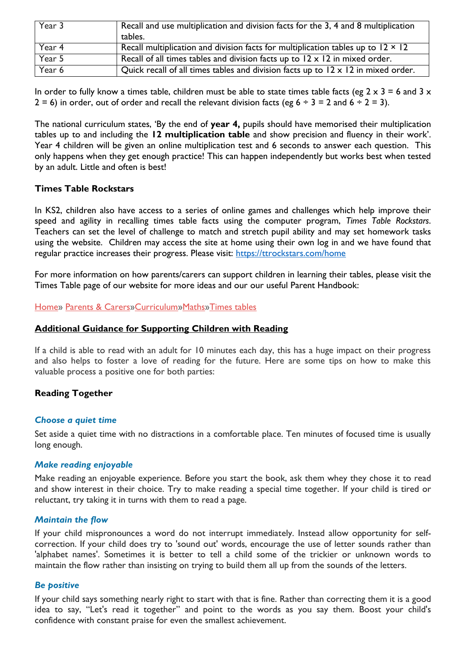| Year 3 | Recall and use multiplication and division facts for the 3, 4 and 8 multiplication<br>tables. |
|--------|-----------------------------------------------------------------------------------------------|
| Year 4 | Recall multiplication and division facts for multiplication tables up to $12 \times 12$       |
| Year 5 | Recall of all times tables and division facts up to $12 \times 12$ in mixed order.            |
| Year 6 | Quick recall of all times tables and division facts up to $12 \times 12$ in mixed order.      |

In order to fully know a times table, children must be able to state times table facts (eg  $2 \times 3 = 6$  and  $3 \times$  $2 = 6$ ) in order, out of order and recall the relevant division facts (eg  $6 \div 3 = 2$  and  $6 \div 2 = 3$ ).

The national curriculum states, 'By the end of **year 4,** pupils should have memorised their multiplication tables up to and including the **12 multiplication table** and show precision and fluency in their work'. Year 4 children will be given an online multiplication test and 6 seconds to answer each question. This only happens when they get enough practice! This can happen independently but works best when tested by an adult. Little and often is best!

#### **Times Table Rockstars**

In KS2, children also have access to a series of online games and challenges which help improve their speed and agility in recalling times table facts using the computer program, *Times Table Rockstars*. Teachers can set the level of challenge to match and stretch pupil ability and may set homework tasks using the website. Children may access the site at home using their own log in and we have found that regular practice increases their progress. Please visit:<https://ttrockstars.com/home>

For more information on how parents/carers can support children in learning their tables, please visit the Times Table page of our website for more ideas and our our useful Parent Handbook:

[Home»](http://www.stnicolasmary.w-sussex.sch.uk/) [Parents & Carers](http://www.stnicolasmary.w-sussex.sch.uk/page/?title=Parents+%26amp%3B+Carers&pid=8)[»Curriculum](http://www.stnicolasmary.w-sussex.sch.uk/page/?title=Curriculum&pid=35)[»Maths](http://www.stnicolasmary.w-sussex.sch.uk/page/?title=Maths&pid=43)[»Times tables](http://www.stnicolasmary.w-sussex.sch.uk/page/?title=Times+tables&pid=172)

## **Additional Guidance for Supporting Children with Reading**

If a child is able to read with an adult for 10 minutes each day, this has a huge impact on their progress and also helps to foster a love of reading for the future. Here are some tips on how to make this valuable process a positive one for both parties:

## **Reading Together**

#### *Choose a quiet time*

Set aside a quiet time with no distractions in a comfortable place. Ten minutes of focused time is usually long enough.

#### *Make reading enjoyable*

Make reading an enjoyable experience. Before you start the book, ask them whey they chose it to read and show interest in their choice. Try to make reading a special time together. If your child is tired or reluctant, try taking it in turns with them to read a page.

#### *Maintain the flow*

If your child mispronounces a word do not interrupt immediately. Instead allow opportunity for selfcorrection. If your child does try to 'sound out' words, encourage the use of letter sounds rather than 'alphabet names'. Sometimes it is better to tell a child some of the trickier or unknown words to maintain the flow rather than insisting on trying to build them all up from the sounds of the letters.

#### *Be positive*

If your child says something nearly right to start with that is fine. Rather than correcting them it is a good idea to say, "Let's read it together" and point to the words as you say them. Boost your child's confidence with constant praise for even the smallest achievement.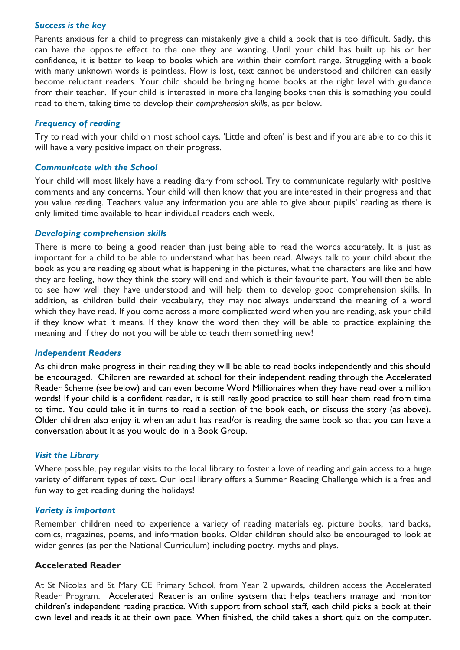#### *Success is the key*

Parents anxious for a child to progress can mistakenly give a child a book that is too difficult. Sadly, this can have the opposite effect to the one they are wanting. Until your child has built up his or her confidence, it is better to keep to books which are within their comfort range. Struggling with a book with many unknown words is pointless. Flow is lost, text cannot be understood and children can easily become reluctant readers. Your child should be bringing home books at the right level with guidance from their teacher. If your child is interested in more challenging books then this is something you could read to them, taking time to develop their *comprehension skills*, as per below.

#### *Frequency of reading*

Try to read with your child on most school days. 'Little and often' is best and if you are able to do this it will have a very positive impact on their progress.

#### *Communicate with the School*

Your child will most likely have a reading diary from school. Try to communicate regularly with positive comments and any concerns. Your child will then know that you are interested in their progress and that you value reading. Teachers value any information you are able to give about pupils' reading as there is only limited time available to hear individual readers each week.

#### *Developing comprehension skills*

There is more to being a good reader than just being able to read the words accurately. It is just as important for a child to be able to understand what has been read. Always talk to your child about the book as you are reading eg about what is happening in the pictures, what the characters are like and how they are feeling, how they think the story will end and which is their favourite part. You will then be able to see how well they have understood and will help them to develop good comprehension skills. In addition, as children build their vocabulary, they may not always understand the meaning of a word which they have read. If you come across a more complicated word when you are reading, ask your child if they know what it means. If they know the word then they will be able to practice explaining the meaning and if they do not you will be able to teach them something new!

#### *Independent Readers*

As children make progress in their reading they will be able to read books independently and this should be encouraged. Children are rewarded at school for their independent reading through the Accelerated Reader Scheme (see below) and can even become Word Millionaires when they have read over a million words! If your child is a confident reader, it is still really good practice to still hear them read from time to time. You could take it in turns to read a section of the book each, or discuss the story (as above). Older children also enjoy it when an adult has read/or is reading the same book so that you can have a conversation about it as you would do in a Book Group.

#### *Visit the Library*

Where possible, pay regular visits to the local library to foster a love of reading and gain access to a huge variety of different types of text. Our local library offers a Summer Reading Challenge which is a free and fun way to get reading during the holidays!

#### *Variety is important*

Remember children need to experience a variety of reading materials eg. picture books, hard backs, comics, magazines, poems, and information books. Older children should also be encouraged to look at wider genres (as per the National Curriculum) including poetry, myths and plays.

## **Accelerated Reader**

At St Nicolas and St Mary CE Primary School, from Year 2 upwards, children access the Accelerated Reader Program. [Accelerated](https://www.renaissance.com/products/practice/accelerated-reader-360/?int_content=int_web) Reader is an online systsem that helps teachers manage and monitor children's independent reading practice. With support from school staff, each child picks a book at their own level and reads it at their own pace. When finished, the child takes a short quiz on the computer.